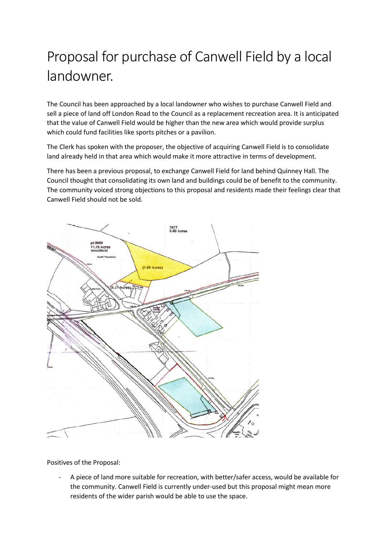## Proposal for purchase of Canwell Field by a local landowner.

The Council has been approached by a local landowner who wishes to purchase Canwell Field and sell a piece of land off London Road to the Council as a replacement recreation area. It is anticipated that the value of Canwell Field would be higher than the new area which would provide surplus which could fund facilities like sports pitches or a pavilion.

The Clerk has spoken with the proposer, the objective of acquiring Canwell Field is to consolidate land already held in that area which would make it more attractive in terms of development.

There has been a previous proposal, to exchange Canwell Field for land behind Quinney Hall. The Council thought that consolidating its own land and buildings could be of benefit to the community. The community voiced strong objections to this proposal and residents made their feelings clear that Canwell Field should not be sold.



Positives of the Proposal:

- A piece of land more suitable for recreation, with better/safer access, would be available for the community. Canwell Field is currently under-used but this proposal might mean more residents of the wider parish would be able to use the space.